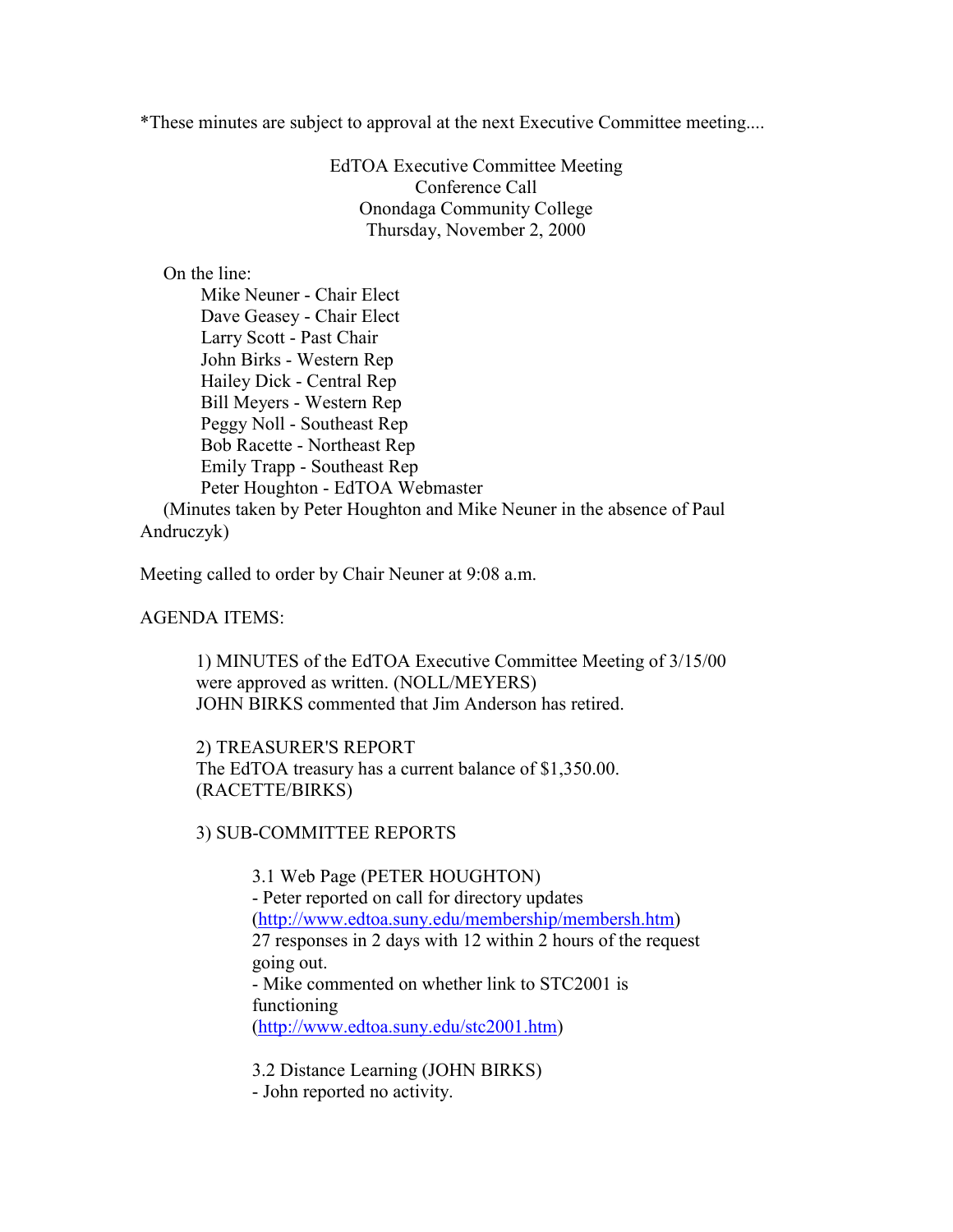\*These minutes are subject to approval at the next Executive Committee meeting....

EdTOA Executive Committee Meeting Conference Call Onondaga Community College Thursday, November 2, 2000

On the line:

 Mike Neuner - Chair Elect Dave Geasey - Chair Elect Larry Scott - Past Chair John Birks - Western Rep Hailey Dick - Central Rep Bill Meyers - Western Rep Peggy Noll - Southeast Rep Bob Racette - Northeast Rep Emily Trapp - Southeast Rep Peter Houghton - EdTOA Webmaster (Minutes taken by Peter Houghton and Mike Neuner in the absence of Paul

Andruczyk)

Meeting called to order by Chair Neuner at 9:08 a.m.

AGENDA ITEMS:

1) MINUTES of the EdTOA Executive Committee Meeting of 3/15/00 were approved as written. (NOLL/MEYERS) JOHN BIRKS commented that Jim Anderson has retired.

2) TREASURER'S REPORT The EdTOA treasury has a current balance of \$1,350.00. (RACETTE/BIRKS)

3) SUB-COMMITTEE REPORTS

3.1 Web Page (PETER HOUGHTON) - Peter reported on call for directory updates (http://www.edtoa.suny.edu/membership/membersh.htm) 27 responses in 2 days with 12 within 2 hours of the request going out. - Mike commented on whether link to STC2001 is functioning (http://www.edtoa.suny.edu/stc2001.htm)

3.2 Distance Learning (JOHN BIRKS) - John reported no activity.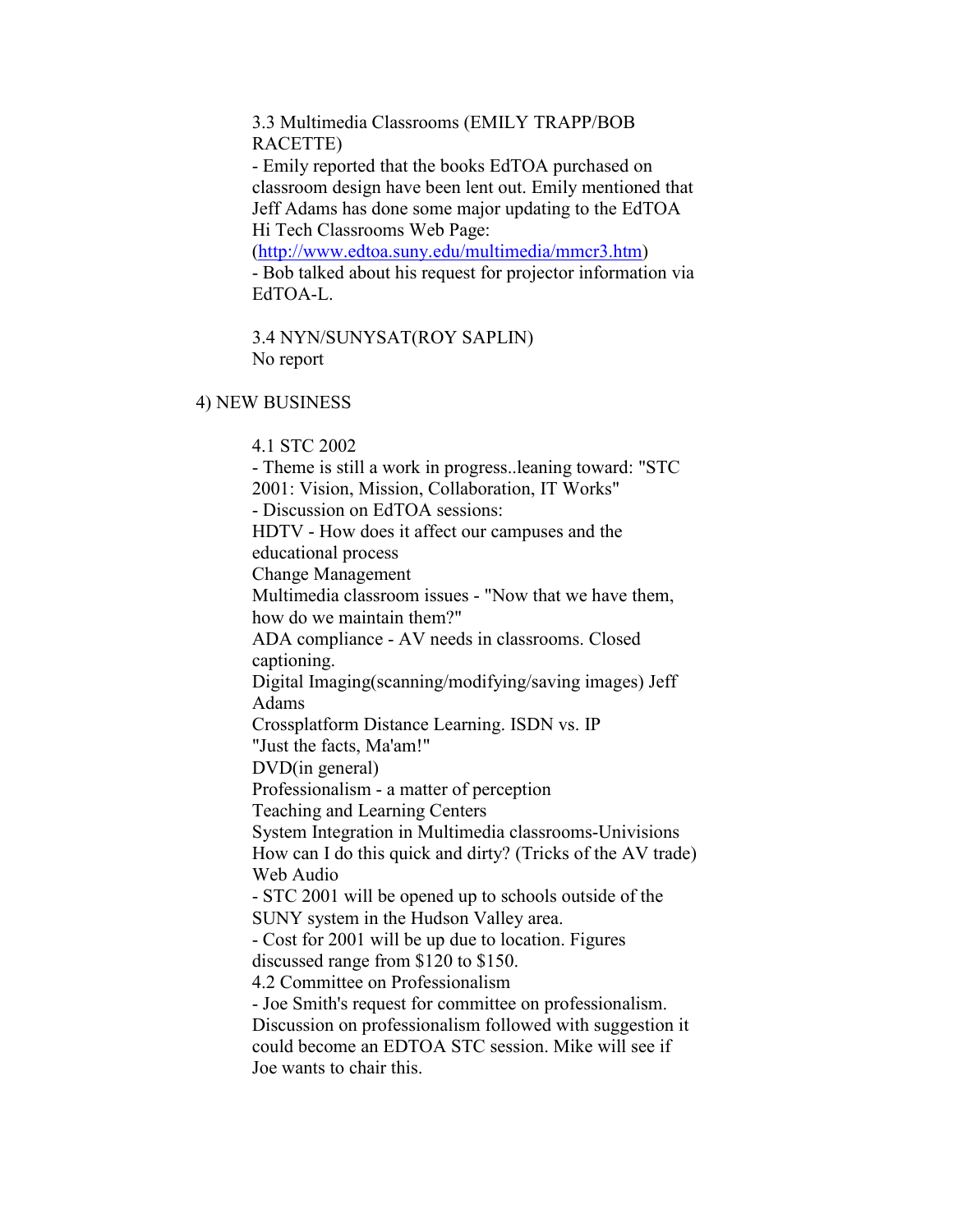3.3 Multimedia Classrooms (EMILY TRAPP/BOB RACETTE)

- Emily reported that the books EdTOA purchased on classroom design have been lent out. Emily mentioned that Jeff Adams has done some major updating to the EdTOA Hi Tech Classrooms Web Page:

(http://www.edtoa.suny.edu/multimedia/mmcr3.htm) - Bob talked about his request for projector information via EdTOA-L.

3.4 NYN/SUNYSAT(ROY SAPLIN) No report

## 4) NEW BUSINESS

4.1 STC 2002 - Theme is still a work in progress..leaning toward: "STC 2001: Vision, Mission, Collaboration, IT Works" - Discussion on EdTOA sessions: HDTV - How does it affect our campuses and the educational process Change Management Multimedia classroom issues - "Now that we have them, how do we maintain them?" ADA compliance - AV needs in classrooms. Closed captioning. Digital Imaging(scanning/modifying/saving images) Jeff Adams Crossplatform Distance Learning. ISDN vs. IP "Just the facts, Ma'am!" DVD(in general) Professionalism - a matter of perception Teaching and Learning Centers System Integration in Multimedia classrooms-Univisions How can I do this quick and dirty? (Tricks of the AV trade) Web Audio - STC 2001 will be opened up to schools outside of the SUNY system in the Hudson Valley area. - Cost for 2001 will be up due to location. Figures discussed range from \$120 to \$150. 4.2 Committee on Professionalism - Joe Smith's request for committee on professionalism. Discussion on professionalism followed with suggestion it could become an EDTOA STC session. Mike will see if Joe wants to chair this.